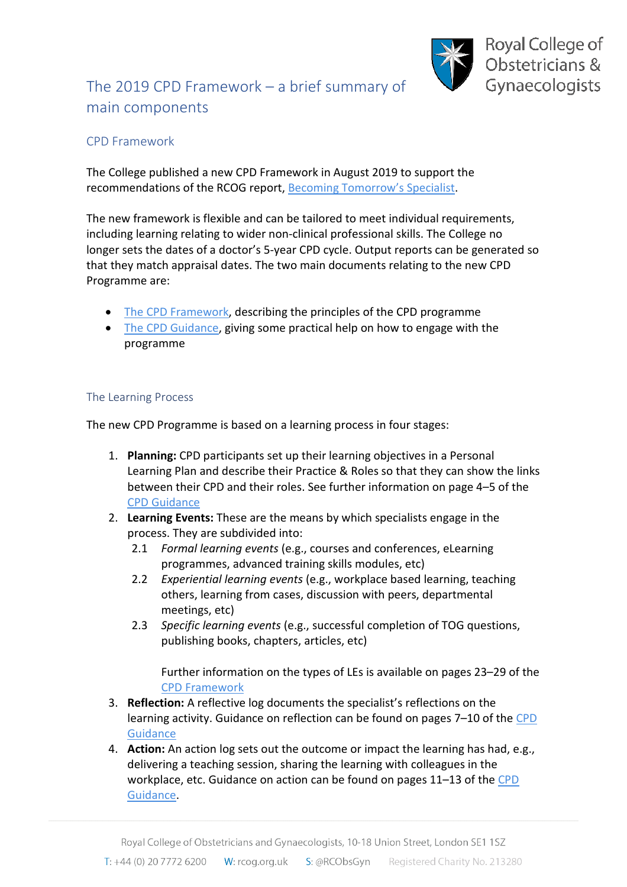

# The 2019 CPD Framework – a brief summary of main components

# CPD Framework

The College published a new CPD Framework in August 2019 to support the recommendations of the RCOG report, [Becoming Tomorrow's Specialist.](https://www.rcog.org.uk/becoming-tomorrows-specialist)

The new framework is flexible and can be tailored to meet individual requirements, including learning relating to wider non-clinical professional skills. The College no longer sets the dates of a doctor's 5-year CPD cycle. Output reports can be generated so that they match appraisal dates. The two main documents relating to the new CPD Programme are:

- [The CPD Framework,](https://www.rcog.org.uk/globalassets/documents/cpd/rcog-cpd-programme-framework-2019.pdf) describing the principles of the CPD programme
- [The CPD Guidance,](https://www.rcog.org.uk/globalassets/documents/cpd/cpd-guidance.pdf) giving some practical help on how to engage with the programme

# The Learning Process

The new CPD Programme is based on a learning process in four stages:

- 1. **Planning:** CPD participants set up their learning objectives in a Personal Learning Plan and describe their Practice & Roles so that they can show the links between their CPD and their roles. See further information on page 4–5 of the [CPD Guidance](https://www.rcog.org.uk/globalassets/documents/cpd/cpd-guidance.pdf)
- 2. **Learning Events:** These are the means by which specialists engage in the process. They are subdivided into:
	- 2.1 *Formal learning events* (e.g., courses and conferences, eLearning programmes, advanced training skills modules, etc)
	- 2.2 *Experiential learning events* (e.g., workplace based learning, teaching others, learning from cases, discussion with peers, departmental meetings, etc)
	- 2.3 *Specific learning events* (e.g., successful completion of TOG questions, publishing books, chapters, articles, etc)

Further information on the types of LEs is available on pages 23–29 of the [CPD Framework](https://www.rcog.org.uk/globalassets/documents/cpd/rcog-cpd-programme-framework-2019.pdf)

- 3. **Reflection:** A reflective log documents the specialist's reflections on the learning activity. Guidance on reflection can be found on pages 7–10 of th[e CPD](https://www.rcog.org.uk/globalassets/documents/cpd/cpd-guidance.pdf)  **[Guidance](https://www.rcog.org.uk/globalassets/documents/cpd/cpd-guidance.pdf)**
- 4. **Action:** An action log sets out the outcome or impact the learning has had, e.g., delivering a teaching session, sharing the learning with colleagues in the workplace, etc. Guidance on action can be found on pages 11–13 of the [CPD](https://www.rcog.org.uk/globalassets/documents/cpd/cpd-guidance.pdf)  [Guidance.](https://www.rcog.org.uk/globalassets/documents/cpd/cpd-guidance.pdf)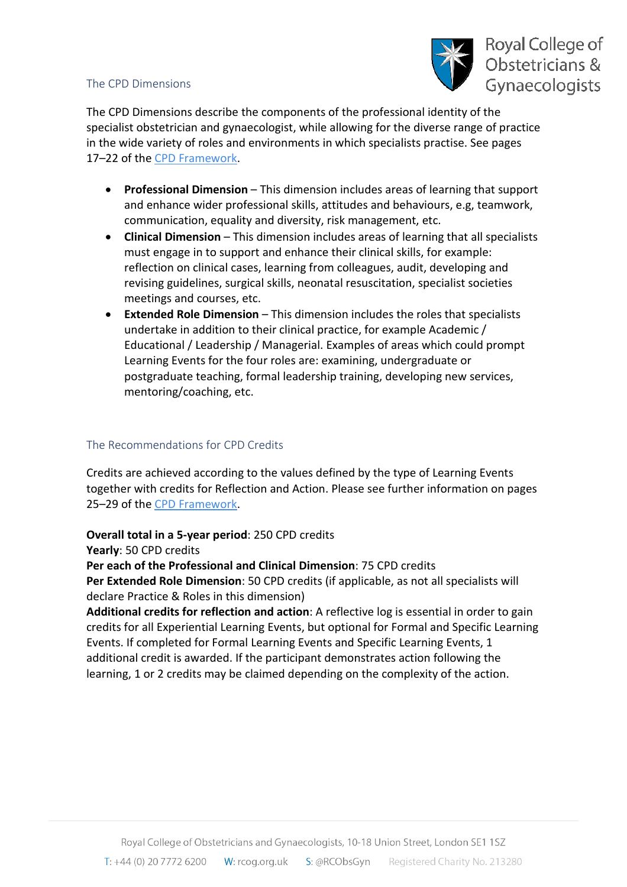#### The CPD Dimensions



The CPD Dimensions describe the components of the professional identity of the specialist obstetrician and gynaecologist, while allowing for the diverse range of practice in the wide variety of roles and environments in which specialists practise. See pages 17–22 of th[e CPD Framework.](https://www.rcog.org.uk/globalassets/documents/cpd/rcog-cpd-programme-framework-2019.pdf)

- **Professional Dimension** This dimension includes areas of learning that support and enhance wider professional skills, attitudes and behaviours, e.g, teamwork, communication, equality and diversity, risk management, etc.
- **Clinical Dimension** This dimension includes areas of learning that all specialists must engage in to support and enhance their clinical skills, for example: reflection on clinical cases, learning from colleagues, audit, developing and revising guidelines, surgical skills, neonatal resuscitation, specialist societies meetings and courses, etc.
- **Extended Role Dimension** This dimension includes the roles that specialists undertake in addition to their clinical practice, for example Academic / Educational / Leadership / Managerial. Examples of areas which could prompt Learning Events for the four roles are: examining, undergraduate or postgraduate teaching, formal leadership training, developing new services, mentoring/coaching, etc.

#### The Recommendations for CPD Credits

Credits are achieved according to the values defined by the type of Learning Events together with credits for Reflection and Action. Please see further information on pages 25–29 of th[e CPD Framework.](https://www.rcog.org.uk/globalassets/documents/cpd/rcog-cpd-programme-framework-2019.pdf)

**Overall total in a 5-year period**: 250 CPD credits

**Yearly**: 50 CPD credits

**Per each of the Professional and Clinical Dimension**: 75 CPD credits

**Per Extended Role Dimension**: 50 CPD credits (if applicable, as not all specialists will declare Practice & Roles in this dimension)

**Additional credits for reflection and action**: A reflective log is essential in order to gain credits for all Experiential Learning Events, but optional for Formal and Specific Learning Events. If completed for Formal Learning Events and Specific Learning Events, 1 additional credit is awarded. If the participant demonstrates action following the learning, 1 or 2 credits may be claimed depending on the complexity of the action.